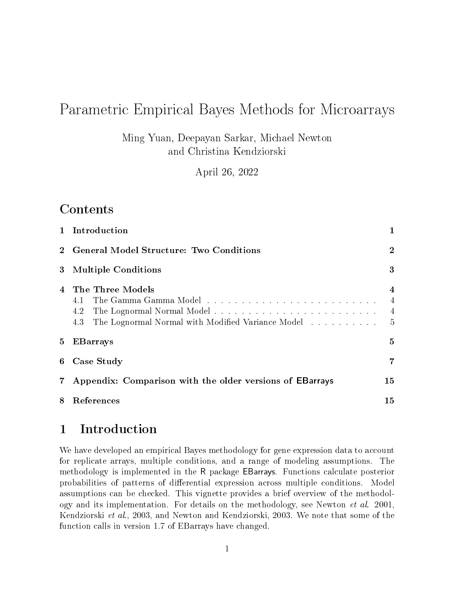# Parametric Empirical Bayes Methods for Microarrays

Ming Yuan, Deepayan Sarkar, Michael Newton and Christina Kendziorski

April 26, 2022

# Contents

| $\mathbf{1}$ | Introduction                                                                               |                                                                     |
|--------------|--------------------------------------------------------------------------------------------|---------------------------------------------------------------------|
| 2            | General Model Structure: Two Conditions                                                    |                                                                     |
| 3            | <b>Multiple Conditions</b>                                                                 | 3                                                                   |
| 4            | The Three Models<br>4.1<br>4.2<br>The Lognormal Normal with Modified Variance Model<br>4.3 | $\overline{4}$<br>$\overline{4}$<br>$\overline{4}$<br>$\frac{5}{2}$ |
| 5            | <b>EBarrays</b>                                                                            | 5                                                                   |
| 6            | Case Study                                                                                 | 7                                                                   |
| $7^{\circ}$  | Appendix: Comparison with the older versions of EBarrays                                   | 15                                                                  |
| 8            | References                                                                                 | 15                                                                  |

# 1 Introduction

We have developed an empirical Bayes methodology for gene expression data to account for replicate arrays, multiple conditions, and a range of modeling assumptions. The methodology is implemented in the R package EBarrays. Functions calculate posterior probabilities of patterns of differential expression across multiple conditions. Model assumptions can be checked. This vignette provides a brief overview of the methodology and its implementation. For details on the methodology, see Newton et al. 2001, Kendziorski et al., 2003, and Newton and Kendziorski, 2003. We note that some of the function calls in version 1.7 of EBarrays have changed.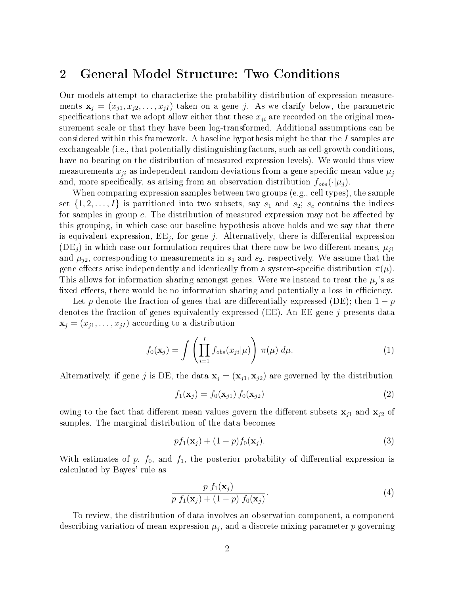### 2 General Model Structure: Two Conditions

Our models attempt to characterize the probability distribution of expression measurements  $\mathbf{x}_j = (x_{j1}, x_{j2}, \dots, x_{jI})$  taken on a gene j. As we clarify below, the parametric specifications that we adopt allow either that these  $x_{ji}$  are recorded on the original measurement scale or that they have been log-transformed. Additional assumptions can be considered within this framework. A baseline hypothesis might be that the I samples are exchangeable (i.e., that potentially distinguishing factors, such as cell-growth conditions, have no bearing on the distribution of measured expression levels). We would thus view measurements  $x_{ji}$  as independent random deviations from a gene-specific mean value  $\mu_j$ and, more specifically, as arising from an observation distribution  $f_{obs}(\cdot|\mu_i)$ .

When comparing expression samples between two groups (e.g., cell types), the sample set  $\{1, 2, \ldots, I\}$  is partitioned into two subsets, say  $s_1$  and  $s_2$ ;  $s_c$  contains the indices for samples in group  $c$ . The distribution of measured expression may not be affected by this grouping, in which case our baseline hypothesis above holds and we say that there is equivalent expression,  $\mathrm{EE}_j$ , for gene  $j$ . Alternatively, there is differential expression  $(DE_i)$  in which case our formulation requires that there now be two different means,  $\mu_{i1}$ and  $\mu_{i2}$ , corresponding to measurements in  $s_1$  and  $s_2$ , respectively. We assume that the gene effects arise independently and identically from a system-specific distribution  $\pi(\mu)$ . This allows for information sharing amongst genes. Were we instead to treat the  $\mu_j$ 's as fixed effects, there would be no information sharing and potentially a loss in efficiency.

Let p denote the fraction of genes that are differentially expressed (DE); then  $1-p$ denotes the fraction of genes equivalently expressed (EE). An EE gene j presents data  $\mathbf{x}_j = (x_{j1}, \dots, x_{jI})$  according to a distribution

$$
f_0(\mathbf{x}_j) = \int \left( \prod_{i=1}^I f_{obs}(x_{ji}|\mu) \right) \pi(\mu) d\mu.
$$
 (1)

Alternatively, if gene j is DE, the data  $\mathbf{x}_j = (\mathbf{x}_{j1}, \mathbf{x}_{j2})$  are governed by the distribution

$$
f_1(\mathbf{x}_j) = f_0(\mathbf{x}_{j1}) f_0(\mathbf{x}_{j2})
$$
\n(2)

owing to the fact that different mean values govern the different subsets  $\mathbf{x}_{j1}$  and  $\mathbf{x}_{j2}$  of samples. The marginal distribution of the data becomes

$$
pf_1(\mathbf{x}_j) + (1-p)f_0(\mathbf{x}_j). \tag{3}
$$

With estimates of p,  $f_0$ , and  $f_1$ , the posterior probability of differential expression is calculated by Bayes' rule as

$$
\frac{p f_1(\mathbf{x}_j)}{p f_1(\mathbf{x}_j) + (1-p) f_0(\mathbf{x}_j)}.
$$
\n(4)

To review, the distribution of data involves an observation component, a component describing variation of mean expression  $\mu_j,$  and a discrete mixing parameter  $p$  governing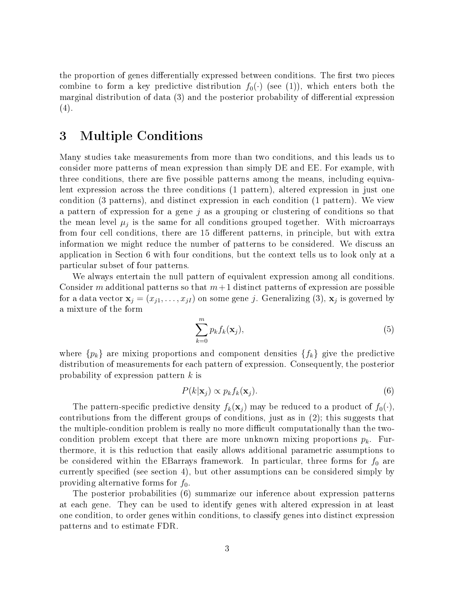the proportion of genes differentially expressed between conditions. The first two pieces combine to form a key predictive distribution  $f_0(\cdot)$  (see (1)), which enters both the marginal distribution of data  $(3)$  and the posterior probability of differential expression (4).

## 3 Multiple Conditions

Many studies take measurements from more than two conditions, and this leads us to consider more patterns of mean expression than simply DE and EE. For example, with three conditions, there are five possible patterns among the means, including equivalent expression across the three conditions (1 pattern), altered expression in just one condition (3 patterns), and distinct expression in each condition (1 pattern). We view a pattern of expression for a gene  $j$  as a grouping or clustering of conditions so that the mean level  $\mu_j$  is the same for all conditions grouped together. With microarrays from four cell conditions, there are 15 different patterns, in principle, but with extra information we might reduce the number of patterns to be considered. We discuss an application in Section 6 with four conditions, but the context tells us to look only at a particular subset of four patterns.

We always entertain the null pattern of equivalent expression among all conditions. Consider m additional patterns so that  $m+1$  distinct patterns of expression are possible for a data vector  $\mathbf{x}_j = (x_{j1}, \dots, x_{jI})$  on some gene  $j$ . Generalizing  $(3)$ ,  $\mathbf{x}_j$  is governed by a mixture of the form

$$
\sum_{k=0}^{m} p_k f_k(\mathbf{x}_j),\tag{5}
$$

where  ${p_k}$  are mixing proportions and component densities  ${f_k}$  give the predictive distribution of measurements for each pattern of expression. Consequently, the posterior probability of expression pattern k is

$$
P(k|\mathbf{x}_j) \propto p_k f_k(\mathbf{x}_j). \tag{6}
$$

The pattern-specific predictive density  $f_k(\mathbf{x}_j)$  may be reduced to a product of  $f_0(\cdot)$ , contributions from the different groups of conditions, just as in  $(2)$ ; this suggests that the multiple-condition problem is really no more difficult computationally than the twocondition problem except that there are more unknown mixing proportions  $p_k$ . Furthermore, it is this reduction that easily allows additional parametric assumptions to be considered within the EBarrays framework. In particular, three forms for  $f_0$  are currently specified (see section 4), but other assumptions can be considered simply by providing alternative forms for  $f_0$ .

The posterior probabilities (6) summarize our inference about expression patterns at each gene. They can be used to identify genes with altered expression in at least one condition, to order genes within conditions, to classify genes into distinct expression patterns and to estimate FDR.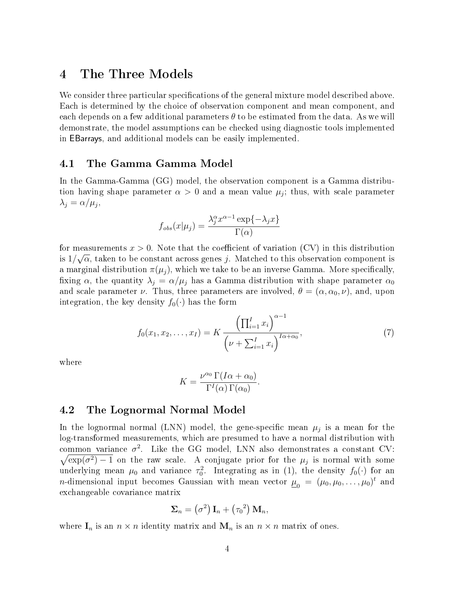### 4 The Three Models

We consider three particular specifications of the general mixture model described above. Each is determined by the choice of observation component and mean component, and each depends on a few additional parameters  $\theta$  to be estimated from the data. As we will demonstrate, the model assumptions can be checked using diagnostic tools implemented in EBarrays, and additional models can be easily implemented.

#### 4.1 The Gamma Gamma Model

In the Gamma-Gamma (GG) model, the observation component is a Gamma distribution having shape parameter  $\alpha > 0$  and a mean value  $\mu_j$ ; thus, with scale parameter  $\lambda_j = \alpha/\mu_j$ 

$$
f_{obs}(x|\mu_j) = \frac{\lambda_j^{\alpha} x^{\alpha - 1} \exp\{-\lambda_j x\}}{\Gamma(\alpha)}
$$

for measurements  $x > 0$ . Note that the coefficient of variation (CV) in this distribution is  $1/\sqrt{\alpha},$  taken to be constant across genes  $j.$  Matched to this observation component is a marginal distribution  $\pi(\mu_i)$ , which we take to be an inverse Gamma. More specifically, fixing  $\alpha$ , the quantity  $\lambda_j = \alpha/\mu_j$  has a Gamma distribution with shape parameter  $\alpha_0$ and scale parameter  $\nu$ . Thus, three parameters are involved,  $\theta = (\alpha, \alpha_0, \nu)$ , and, upon integration, the key density  $f_0(\cdot)$  has the form

$$
f_0(x_1, x_2, \dots, x_I) = K \frac{\left(\prod_{i=1}^I x_i\right)^{\alpha - 1}}{\left(\nu + \sum_{i=1}^I x_i\right)^{I\alpha + \alpha_0}},\tag{7}
$$

where

$$
K = \frac{\nu^{\alpha_0} \Gamma(I\alpha + \alpha_0)}{\Gamma^I(\alpha) \Gamma(\alpha_0)}.
$$

### 4.2 The Lognormal Normal Model

In the lognormal normal (LNN) model, the gene-specific mean  $\mu_j$  is a mean for the log-transformed measurements, which are presumed to have a normal distribution with common variance  $\sigma^2$ . Like the GG model, LNN also demonstrates a constant CV:  $\sqrt{\exp(\sigma^2)-1}$  on the raw scale. A conjugate prior for the  $\mu_j$  is normal with some underlying mean  $\mu_0$  and variance  $\tau_0^2$ . Integrating as in (1), the density  $f_0(\cdot)$  for an *n*-dimensional input becomes Gaussian with mean vector  $\underline{\mu}_0 = (\mu_0, \mu_0, \dots, \mu_0)^t$  and exchangeable covariance matrix

$$
\mathbf{\Sigma}_n = \left(\sigma^2\right)\mathbf{I}_n + \left(\tau_0^2\right)\mathbf{M}_n,
$$

where  $I_n$  is an  $n \times n$  identity matrix and  $M_n$  is an  $n \times n$  matrix of ones.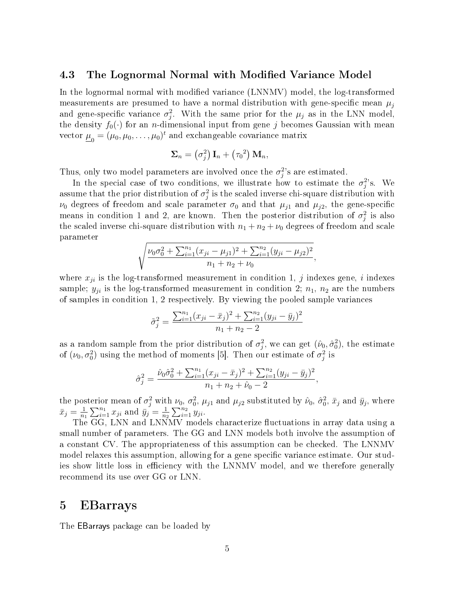#### 4.3 The Lognormal Normal with Modified Variance Model

In the lognormal normal with modied variance (LNNMV) model, the log-transformed measurements are presumed to have a normal distribution with gene-specific mean  $\mu_i$ and gene-specific variance  $\sigma_j^2$ . With the same prior for the  $\mu_j$  as in the LNN model, the density  $f_0(\cdot)$  for an *n*-dimensional input from gene j becomes Gaussian with mean vector  $\underline{\mu}_0 = (\mu_0, \mu_0, \dots, \mu_0)^t$  and exchangeable covariance matrix

$$
\mathbf{\Sigma}_n = \left(\sigma_j^2\right)\mathbf{I}_n + \left(\tau_0^2\right)\mathbf{M}_n,
$$

Thus, only two model parameters are involved once the  $\sigma_j^2$ 's are estimated.

In the special case of two conditions, we illustrate how to estimate the  $\sigma_j^2$ 's. We assume that the prior distribution of  $\sigma_j^2$  is the scaled inverse chi-square distribution with  $\nu_0$  degrees of freedom and scale parameter  $\sigma_0$  and that  $\mu_{j1}$  and  $\mu_{j2}$ , the gene-specific means in condition 1 and 2, are known. Then the posterior distribution of  $\sigma_j^2$  is also the scaled inverse chi-square distribution with  $n_1 + n_2 + \nu_0$  degrees of freedom and scale parameter

$$
\sqrt{\frac{\nu_0 \sigma_0^2 + \sum_{i=1}^{n_1} (x_{ji} - \mu_{j1})^2 + \sum_{i=1}^{n_2} (y_{ji} - \mu_{j2})^2}{n_1 + n_2 + \nu_0}},
$$

where  $x_{ji}$  is the log-transformed measurement in condition 1, j indexes gene, i indexes sample;  $y_{ji}$  is the log-transformed measurement in condition 2;  $n_1$ ,  $n_2$  are the numbers of samples in condition 1, 2 respectively. By viewing the pooled sample variances

$$
\tilde{\sigma}_j^2 = \frac{\sum_{i=1}^{n_1} (x_{ji} - \bar{x}_j)^2 + \sum_{i=1}^{n_2} (y_{ji} - \bar{y}_j)^2}{n_1 + n_2 - 2}
$$

as a random sample from the prior distribution of  $\sigma_j^2$ , we can get  $(\hat{\nu}_0, \hat{\sigma}_0^2)$ , the estimate of  $(\nu_0, \sigma_0^2)$  using the method of moments [5]. Then our estimate of  $\sigma_j^2$  is

$$
\hat{\sigma}_j^2 = \frac{\hat{\nu}_0 \hat{\sigma}_0^2 + \sum_{i=1}^{n_1} (x_{ji} - \bar{x}_j)^2 + \sum_{i=1}^{n_2} (y_{ji} - \bar{y}_j)^2}{n_1 + n_2 + \hat{\nu}_0 - 2},
$$

the posterior mean of  $\sigma_j^2$  with  $\nu_0$ ,  $\sigma_0^2$ ,  $\mu_{j1}$  and  $\mu_{j2}$  substituted by  $\hat{\nu}_0$ ,  $\hat{\sigma}_0^2$ ,  $\bar{x}_j$  and  $\bar{y}_j$ , where  $\bar{x}_j = \frac{1}{n}$  $\frac{1}{n_1} \sum_{i=1}^{n_1} x_{ji}$  and  $\bar{y}_j = \frac{1}{n_2}$  $\frac{1}{n_2} \sum_{i=1}^{n_2} y_{ji}.$ 

The GG, LNN and LNNMV models characterize fluctuations in array data using a small number of parameters. The GG and LNN models both involve the assumption of a constant CV. The appropriateness of this assumption can be checked. The LNNMV model relaxes this assumption, allowing for a gene specific variance estimate. Our studies show little loss in efficiency with the LNNMV model, and we therefore generally recommend its use over GG or LNN.

### 5 EBarrays

The EBarrays package can be loaded by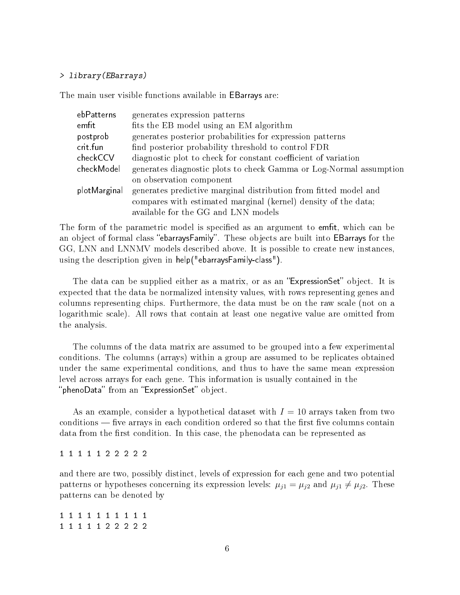#### > library(EBarrays)

The main user visible functions available in EBarrays are:

| ebPatterns   | generates expression patterns                                      |
|--------------|--------------------------------------------------------------------|
| emfit        | fits the EB model using an EM algorithm                            |
| postprob     | generates posterior probabilities for expression patterns          |
| crit fun     | find posterior probability threshold to control FDR                |
| checkCCV     | diagnostic plot to check for constant coefficient of variation     |
| checkModel   | generates diagnostic plots to check Gamma or Log-Normal assumption |
|              | on observation component                                           |
| plotMarginal | generates predictive marginal distribution from fitted model and   |
|              | compares with estimated marginal (kernel) density of the data;     |
|              | available for the GG and LNN models                                |

The form of the parametric model is specified as an argument to emfit, which can be an object of formal class "ebarraysFamily". These objects are built into EBarrays for the GG, LNN and LNNMV models described above. It is possible to create new instances, using the description given in help("ebarraysFamily-class").

The data can be supplied either as a matrix, or as an "ExpressionSet" object. It is expected that the data be normalized intensity values, with rows representing genes and columns representing chips. Furthermore, the data must be on the raw scale (not on a logarithmic scale). All rows that contain at least one negative value are omitted from the analysis.

The columns of the data matrix are assumed to be grouped into a few experimental conditions. The columns (arrays) within a group are assumed to be replicates obtained under the same experimental conditions, and thus to have the same mean expression level across arrays for each gene. This information is usually contained in the "phenoData" from an "ExpressionSet" object.

As an example, consider a hypothetical dataset with  $I = 10$  arrays taken from two  $\alpha$  conditions  $\alpha$  five arrays in each condition ordered so that the first five columns contain data from the first condition. In this case, the phenodata can be represented as

#### 1 1 1 1 1 2 2 2 2 2

and there are two, possibly distinct, levels of expression for each gene and two potential patterns or hypotheses concerning its expression levels:  $\mu_{j1} = \mu_{j2}$  and  $\mu_{j1} \neq \mu_{j2}$ . These patterns can be denoted by

1 1 1 1 1 1 1 1 1 1 1 1 1 1 1 2 2 2 2 2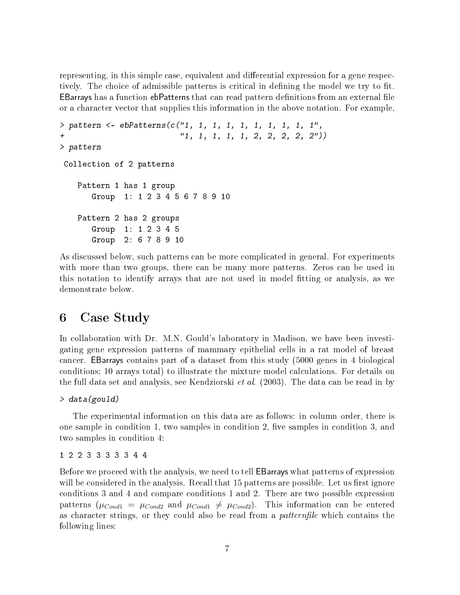representing, in this simple case, equivalent and differential expression for a gene respectively. The choice of admissible patterns is critical in defining the model we try to fit. EBarrays has a function ebPatterns that can read pattern definitions from an external file or a character vector that supplies this information in the above notation. For example,

```
> pattern <- ebPatterns(c("1, 1, 1, 1, 1, 1, 1, 1, 1, 1",
                          "1, 1, 1, 1, 1, 2, 2, 2, 2, 2"> pattern
Collection of 2 patterns
   Pattern 1 has 1 group
       Group 1: 1 2 3 4 5 6 7 8 9 10
   Pattern 2 has 2 groups
       Group 1: 1 2 3 4 5
       Group 2: 6 7 8 9 10
```
As discussed below, such patterns can be more complicated in general. For experiments with more than two groups, there can be many more patterns. Zeros can be used in this notation to identify arrays that are not used in model tting or analysis, as we demonstrate below.

## 6 Case Study

In collaboration with Dr. M.N. Gould's laboratory in Madison, we have been investigating gene expression patterns of mammary epithelial cells in a rat model of breast cancer. EBarrays contains part of a dataset from this study (5000 genes in 4 biological conditions; 10 arrays total) to illustrate the mixture model calculations. For details on the full data set and analysis, see Kendziorski *et al.* (2003). The data can be read in by

```
> data(gould)
```
The experimental information on this data are as follows: in column order, there is one sample in condition 1, two samples in condition 2, five samples in condition 3, and two samples in condition 4:

```
1 2 2 3 3 3 3 3 4 4
```
Before we proceed with the analysis, we need to tell EBarrays what patterns of expression will be considered in the analysis. Recall that 15 patterns are possible. Let us first ignore conditions 3 and 4 and compare conditions 1 and 2. There are two possible expression patterns ( $\mu_{Cond1} = \mu_{Cond2}$  and  $\mu_{Cond1} \neq \mu_{Cond2}$ ). This information can be entered as character strings, or they could also be read from a *patternfile* which contains the following lines: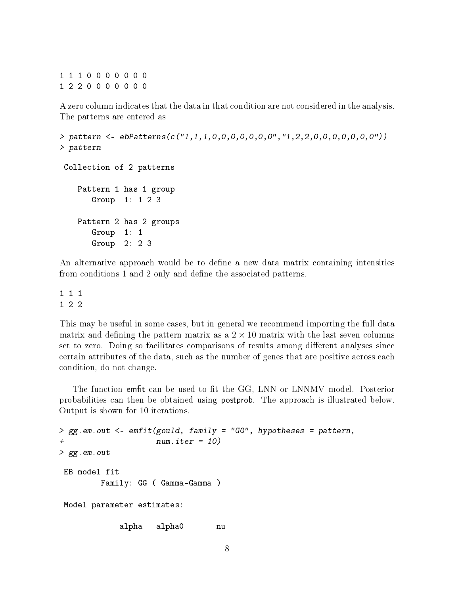1 1 1 0 0 0 0 0 0 0 1 2 2 0 0 0 0 0 0 0

A zero column indicates that the data in that condition are not considered in the analysis. The patterns are entered as

```
> pattern <- ebPatterns(c("1,1,1,0,0,0,0,0,0,0","1,2,2,0,0,0,0,0,0,0"))
> pattern
Collection of 2 patterns
   Pattern 1 has 1 group
       Group 1: 1 2 3
   Pattern 2 has 2 groups
       Group 1: 1
       Group 2: 2 3
```
An alternative approach would be to define a new data matrix containing intensities from conditions 1 and 2 only and define the associated patterns.

1 1 1 1 2 2

This may be useful in some cases, but in general we recommend importing the full data matrix and defining the pattern matrix as a  $2 \times 10$  matrix with the last seven columns set to zero. Doing so facilitates comparisons of results among different analyses since certain attributes of the data, such as the number of genes that are positive across each condition, do not change.

The function emfit can be used to fit the GG, LNN or LNNMV model. Posterior probabilities can then be obtained using postprob. The approach is illustrated below. Output is shown for 10 iterations.

```
> gg.em.out <- emfit(gould, family = "GG", hypotheses = pattern,
                    num.iter = 10)> gg.em.out
EB model fit
        Family: GG ( Gamma-Gamma )
Model parameter estimates:
            alpha alpha0 nu
```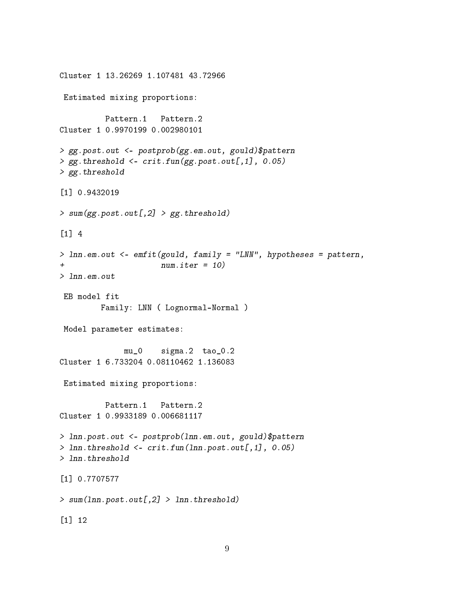```
Cluster 1 13.26269 1.107481 43.72966
Estimated mixing proportions:
          Pattern.1 Pattern.2
Cluster 1 0.9970199 0.002980101
> gg.post.out <- postprob(gg.em.out, gould)$pattern
> gg. threshold \leq crit.fun(gg. post.out[, 1], 0.05)> gg.threshold
[1] 0.9432019
> sum(gg.post.out[, 2] > gg.threshold)[1] 4
> lnn.em.out <- emfit(gould, family = "LNN", hypotheses = pattern,
                      num.iter = 10)> lnn.em.out
EB model fit
        Family: LNN ( Lognormal-Normal )
Model parameter estimates:
              mu_0 sigma.2 tao_0.2
Cluster 1 6.733204 0.08110462 1.136083
Estimated mixing proportions:
         Pattern.1 Pattern.2
Cluster 1 0.9933189 0.006681117
> lnn.post.out <- postprob(lnn.em.out, gould)$pattern
> lnn.threshold <- crit.fun(lnn.post.out[,1], 0.05)
> lnn.threshold
[1] 0.7707577
> sum(lnn.post.out[,2] > lnn.threshold)
[1] 12
```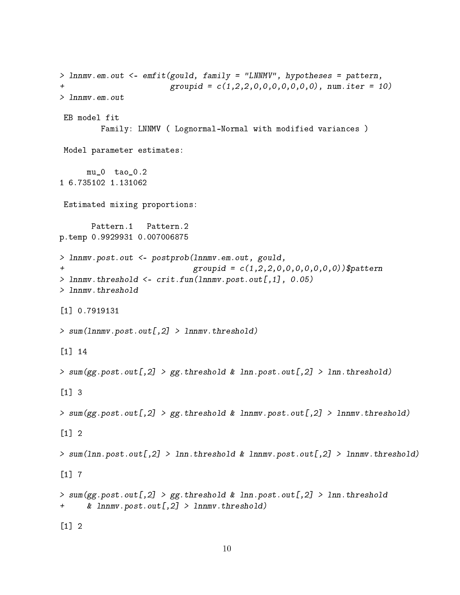```
> lnnmv.em.out <- emfit(gould, family = "LNNMV", hypotheses = pattern,
+ groupid = c(1,2,2,0,0,0,0,0,0,0), num.iter = 10)
> lnnmv.em.out
EB model fit
        Family: LNNMV ( Lognormal-Normal with modified variances )
Model parameter estimates:
     mu_0 tao_0.2
1 6.735102 1.131062
Estimated mixing proportions:
      Pattern.1 Pattern.2
p.temp 0.9929931 0.007006875
> lnnmv.post.out <- postprob(lnnmv.em.out, gould,
+ groupid = c(1,2,2,0,0,0,0,0,0,0))$pattern
> lnnmv.threshold <- crit.fun(lnnmv.post.out[,1], 0.05)
> lnnmv.threshold
[1] 0.7919131
> sum(lnnmv.post.out[,2] > lnnmv.threshold)
[1] 14
> sum(gg.post.out[, 2] > gg. threshold & Inn.post.out[, 2] > Inn. threshold)[1] 3
> sum(gg, post.out[j,2] > gg. threshold & Inmmv.post.out[j,2] > Inmmv. threshold)\lceil 1 \rceil 2
> sum(lnn.post.out[,2] > lnn.threshold & lnnmv.post.out[,2] > lnnmv.threshold)
[1] 7
> sum(gg.post.out[,2] > gg.threshold & lnn.post.out[,2] > lnn.threshold
+ & lnnmv.post.out[,2] > lnnmv.threshold)
[1] 2
```

```
10
```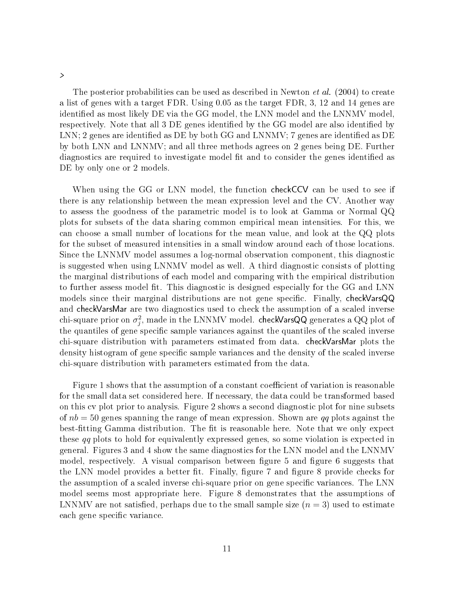>

The posterior probabilities can be used as described in Newton *et al.* (2004) to create a list of genes with a target FDR. Using 0.05 as the target FDR, 3, 12 and 14 genes are identified as most likely DE via the GG model, the LNN model and the LNNMV model, respectively. Note that all 3 DE genes identified by the GG model are also identified by LNN; 2 genes are identified as DE by both GG and LNNMV; 7 genes are identified as DE by both LNN and LNNMV; and all three methods agrees on 2 genes being DE. Further diagnostics are required to investigate model fit and to consider the genes identified as DE by only one or 2 models.

When using the GG or LNN model, the function checkCCV can be used to see if there is any relationship between the mean expression level and the CV. Another way to assess the goodness of the parametric model is to look at Gamma or Normal QQ plots for subsets of the data sharing common empirical mean intensities. For this, we can choose a small number of locations for the mean value, and look at the QQ plots for the subset of measured intensities in a small window around each of those locations. Since the LNNMV model assumes a log-normal observation component, this diagnostic is suggested when using LNNMV model as well. A third diagnostic consists of plotting the marginal distributions of each model and comparing with the empirical distribution to further assess model fit. This diagnostic is designed especially for the GG and LNN models since their marginal distributions are not gene specific. Finally, checkVarsQQ and checkVarsMar are two diagnostics used to check the assumption of a scaled inverse chi-square prior on  $\sigma_j^2$ , made in the LNNMV model. <code>checkVarsQQ</code> generates a QQ plot of the quantiles of gene specific sample variances against the quantiles of the scaled inverse chi-square distribution with parameters estimated from data. checkVarsMar plots the density histogram of gene specific sample variances and the density of the scaled inverse chi-square distribution with parameters estimated from the data.

Figure 1 shows that the assumption of a constant coefficient of variation is reasonable for the small data set considered here. If necessary, the data could be transformed based on this cv plot prior to analysis. Figure 2 shows a second diagnostic plot for nine subsets of  $nb = 50$  genes spanning the range of mean expression. Shown are qq plots against the best-fitting Gamma distribution. The fit is reasonable here. Note that we only expect these qq plots to hold for equivalently expressed genes, so some violation is expected in general. Figures 3 and 4 show the same diagnostics for the LNN model and the LNNMV model, respectively. A visual comparison between figure 5 and figure 6 suggests that the LNN model provides a better fit. Finally, figure 7 and figure 8 provide checks for the assumption of a scaled inverse chi-square prior on gene specific variances. The LNN model seems most appropriate here. Figure 8 demonstrates that the assumptions of LNNMV are not satisfied, perhaps due to the small sample size  $(n = 3)$  used to estimate each gene specific variance.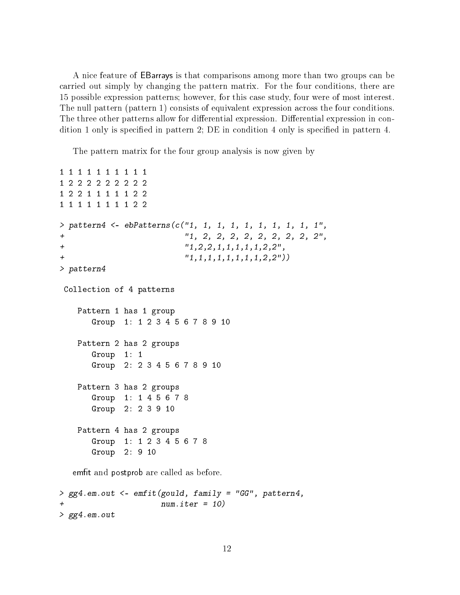A nice feature of EBarrays is that comparisons among more than two groups can be carried out simply by changing the pattern matrix. For the four conditions, there are 15 possible expression patterns; however, for this case study, four were of most interest. The null pattern (pattern 1) consists of equivalent expression across the four conditions. The three other patterns allow for differential expression. Differential expression in condition 1 only is specified in pattern 2; DE in condition 4 only is specified in pattern 4.

The pattern matrix for the four group analysis is now given by

```
1 1 1 1 1 1 1 1 1 1
1 2 2 2 2 2 2 2 2 2
1 2 2 1 1 1 1 1 2 2
1 1 1 1 1 1 1 1 2 2
> pattern4 <- ebPatterns(c("1, 1, 1, 1, 1, 1, 1, 1, 1, 1",
+ "1, 2, 2, 2, 2, 2, 2, 2, 2, 2",
+ "1,2,2,1,1,1,1,1,2,2",
^{\prime\prime} + ^{\prime\prime} (1,1,1,1,1,1,1,1,1,2,2^{\prime\prime}))
> pattern4
Collection of 4 patterns
   Pattern 1 has 1 group
      Group 1: 1 2 3 4 5 6 7 8 9 10
   Pattern 2 has 2 groups
      Group 1: 1
      Group 2: 2 3 4 5 6 7 8 9 10
   Pattern 3 has 2 groups
      Group 1: 1 4 5 6 7 8
      Group 2: 2 3 9 10
   Pattern 4 has 2 groups
      Group 1: 1 2 3 4 5 6 7 8
      Group 2: 9 10
  emfit and postprob are called as before.
> gg4.em.out <- emfit(gould, family = "GG", pattern4,
                     num.iter = 10)
```

```
> gg4.em.out
```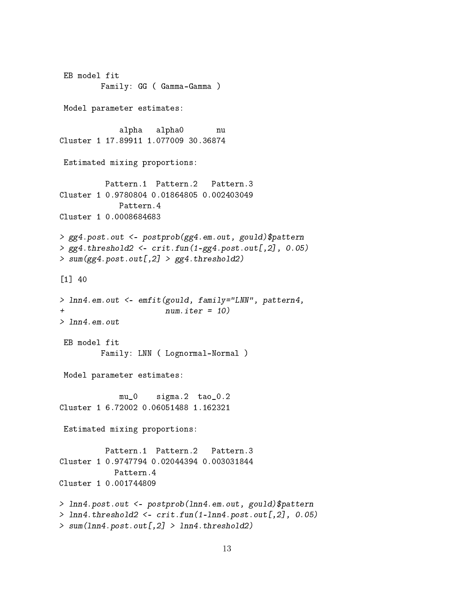```
EB model fit
        Family: GG ( Gamma-Gamma )
Model parameter estimates:
            alpha alpha0 nu
Cluster 1 17.89911 1.077009 30.36874
Estimated mixing proportions:
         Pattern.1 Pattern.2 Pattern.3
Cluster 1 0.9780804 0.01864805 0.002403049
            Pattern.4
Cluster 1 0.0008684683
> gg4.post.out <- postprob(gg4.em.out, gould)$pattern
> gg4. threshold2 < -crit.fun(1-gg4.post.out[, 2], 0.05)> sum(gg4.post.out[,2] > gg4.threshold2)
[1] 40
> lnn4.em.out <- emfit(gould, family="LNN", pattern4,
                      num.iter = 10)> lnn4.em.out
EB model fit
        Family: LNN ( Lognormal-Normal )
Model parameter estimates:
            mu_0 sigma.2 tao_0.2
Cluster 1 6.72002 0.06051488 1.162321
Estimated mixing proportions:
         Pattern.1 Pattern.2 Pattern.3
Cluster 1 0.9747794 0.02044394 0.003031844
           Pattern.4
Cluster 1 0.001744809
> lnn4.post.out <- postprob(lnn4.em.out, gould)$pattern
> lnn4.threshold2 <- crit.fun(1-lnn4.post.out[,2], 0.05)
> sum(lnn4.post.out[,2] > lnn4.threshold2)
```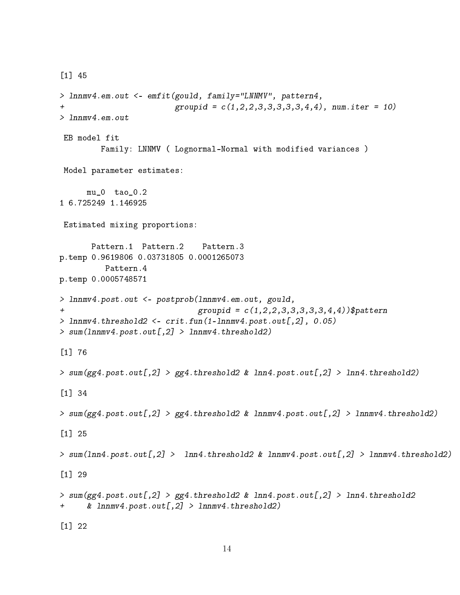```
[1] 45
```

```
> lnnmv4.em.out <- emfit(gould, family="LNNMV", pattern4,
                         groupid = c(1, 2, 2, 3, 3, 3, 3, 3, 4, 4), num.iter = 10)> lnnmv4.em.out
EB model fit
         Family: LNNMV ( Lognormal-Normal with modified variances )
 Model parameter estimates:
      mu_0 tao_0.2
1 6.725249 1.146925
 Estimated mixing proportions:
       Pattern.1 Pattern.2 Pattern.3
p.temp 0.9619806 0.03731805 0.0001265073
          Pattern.4
p.temp 0.0005748571
> lnnmv4.post.out <- postprob(lnnmv4.em.out, gould,
                               groupid = c(1, 2, 2, 3, 3, 3, 3, 3, 4, 4))$pattern
> lnnmv4.threshold2 <- crit.fun(1-lnnmv4.post.out[,2], 0.05)
> sum(lnnmv4.post.out[,2] > lnnmv4.threshold2)
[1] 76
> sum(gg4.post.out[,2] > gg4.threshold2 & lnn4.post.out[,2] > lnn4.threshold2)
[1] 34
> sum(gg4.post.out[,2] > gg4.threshold2 & lnnmv4.post.out[,2] > lnnmv4.threshold2)
[1] 25
> sum(lnn4.post.out[,2] > lnn4.threshold2 & lnnmv4.post.out[,2] > lnnmv4.threshold2)
[1] 29
> sum(gg4.post.out[,2] > gg4.threshold2 & lnn4.post.out[,2] > lnn4.threshold2
+ & lnnmv4.post.out[,2] > lnnmv4.threshold2)
[1] 22
```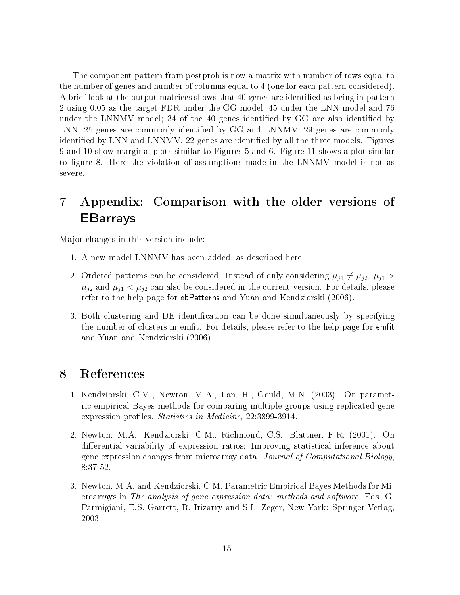The component pattern from postprob is now a matrix with number of rows equal to the number of genes and number of columns equal to 4 (one for each pattern considered). A brief look at the output matrices shows that 40 genes are identified as being in pattern 2 using 0.05 as the target FDR under the GG model, 45 under the LNN model and 76 under the LNNMV model; 34 of the 40 genes identified by GG are also identified by LNN. 25 genes are commonly identified by GG and LNNMV. 29 genes are commonly identified by LNN and LNNMV. 22 genes are identified by all the three models. Figures 9 and 10 show marginal plots similar to Figures 5 and 6. Figure 11 shows a plot similar to figure 8. Here the violation of assumptions made in the LNNMV model is not as severe.

# 7 Appendix: Comparison with the older versions of EBarrays

Major changes in this version include:

- 1. A new model LNNMV has been added, as described here.
- 2. Ordered patterns can be considered. Instead of only considering  $\mu_{i1} \neq \mu_{i2}, \mu_{i1} >$  $\mu_{j2}$  and  $\mu_{j1} < \mu_{j2}$  can also be considered in the current version. For details, please refer to the help page for ebPatterns and Yuan and Kendziorski (2006).
- 3. Both clustering and DE identification can be done simultaneously by specifying the number of clusters in emfit. For details, please refer to the help page for emfit and Yuan and Kendziorski (2006).

### 8 References

- 1. Kendziorski, C.M., Newton, M.A., Lan, H., Gould, M.N. (2003). On parametric empirical Bayes methods for comparing multiple groups using replicated gene expression profiles. Statistics in Medicine, 22:3899-3914.
- 2. Newton, M.A., Kendziorski, C.M., Richmond, C.S., Blattner, F.R. (2001). On differential variability of expression ratios: Improving statistical inference about gene expression changes from microarray data. Journal of Computational Biology, 8:37-52.
- 3. Newton, M.A. and Kendziorski, C.M. Parametric Empirical Bayes Methods for Microarrays in The analysis of gene expression data: methods and software. Eds. G. Parmigiani, E.S. Garrett, R. Irizarry and S.L. Zeger, New York: Springer Verlag, 2003.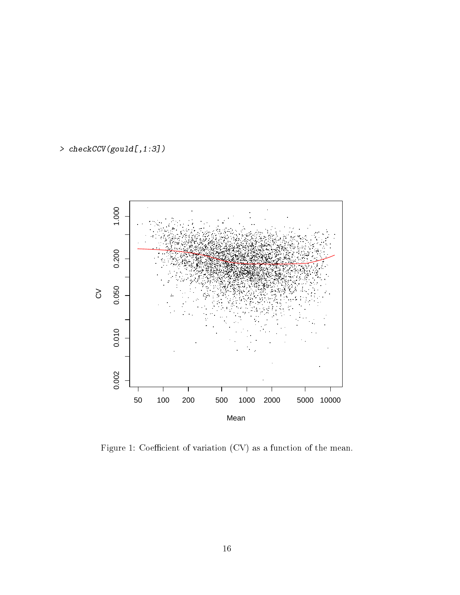> checkCCV(gould[,1:3])



Figure 1: Coefficient of variation (CV) as a function of the mean.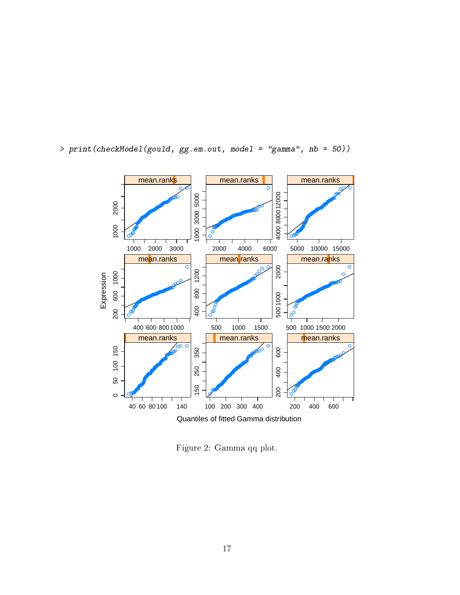

> print(checkModel(gould, gg.em.out, model = "gamma", nb = 50))

Figure 2: Gamma qq plot.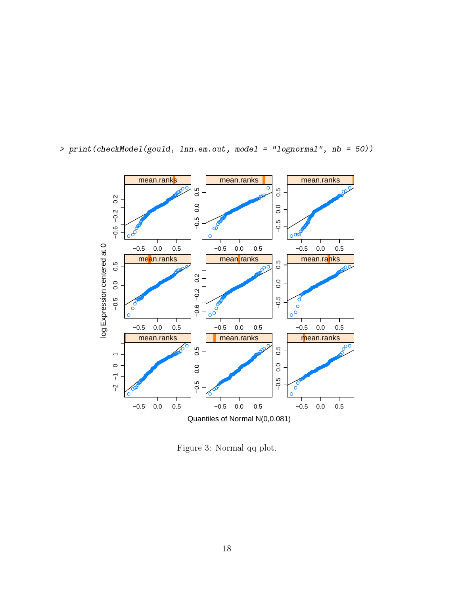

> print(checkModel(gould, lnn.em.out, model = "lognormal", nb = 50))

Figure 3: Normal qq plot.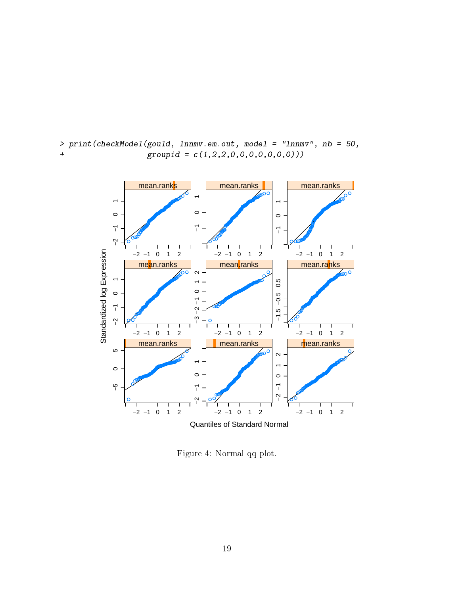

> print(checkModel(gould, lnnmv.em.out, model = "lnnmv", nb = 50,  $groupid = c(1, 2, 2, 0, 0, 0, 0, 0, 0, 0))$ 

Figure 4: Normal qq plot.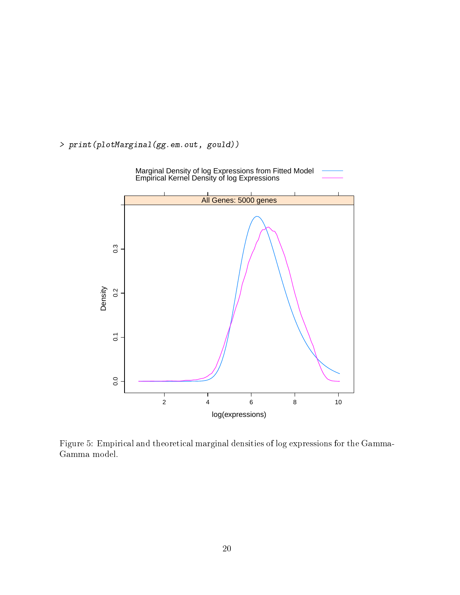> print(plotMarginal(gg.em.out, gould))



Figure 5: Empirical and theoretical marginal densities of log expressions for the Gamma-Gamma model.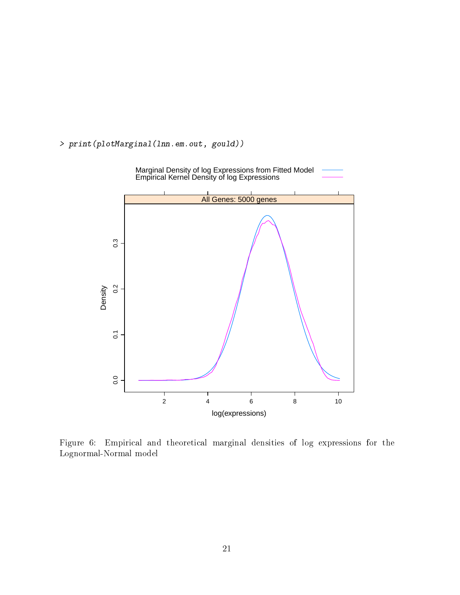> print(plotMarginal(lnn.em.out, gould))



Figure 6: Empirical and theoretical marginal densities of log expressions for the Lognormal-Normal model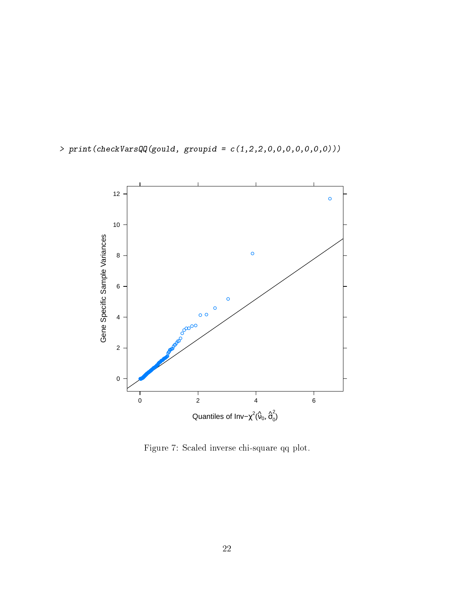

> print(checkVarsQQ(gould, groupid = c(1,2,2,0,0,0,0,0,0,0)))

Figure 7: Scaled inverse chi-square qq plot.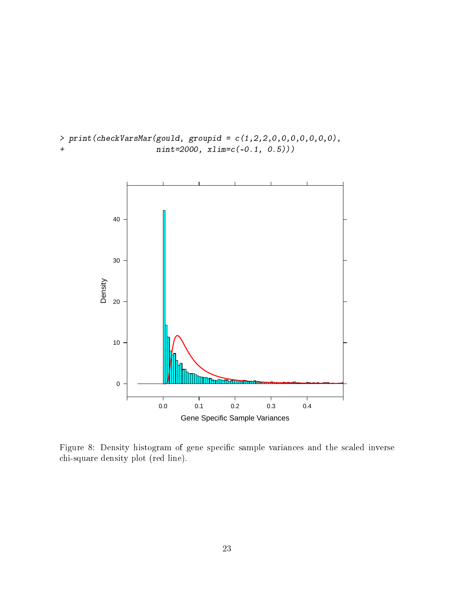



Figure 8: Density histogram of gene specific sample variances and the scaled inverse chi-square density plot (red line).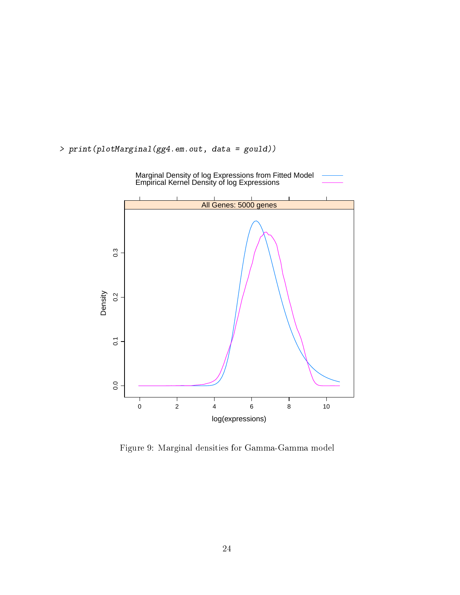> print(plotMarginal(gg4.em.out, data = gould))



Figure 9: Marginal densities for Gamma-Gamma model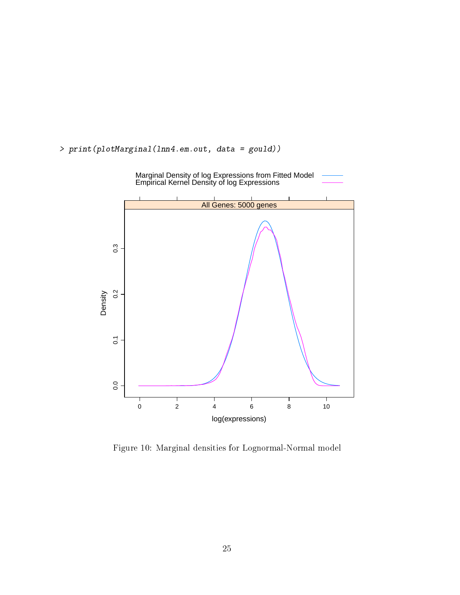### > print(plotMarginal(lnn4.em.out, data = gould))



Figure 10: Marginal densities for Lognormal-Normal model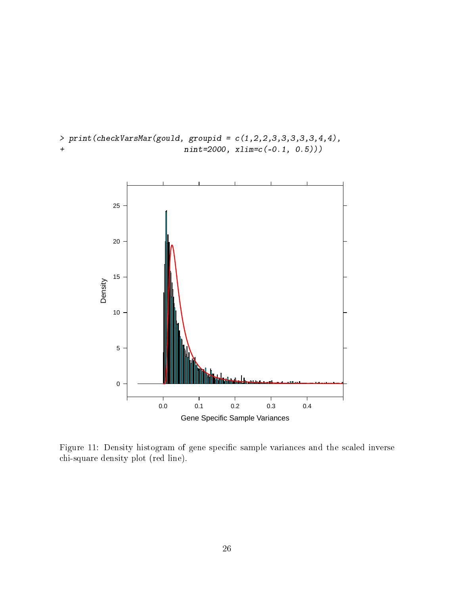



Figure 11: Density histogram of gene specific sample variances and the scaled inverse chi-square density plot (red line).